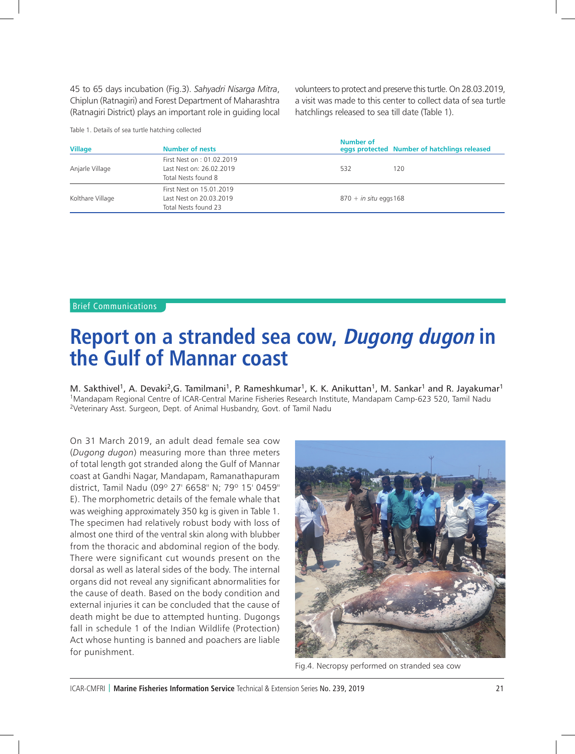## **Report on a stranded sea cow, Dugong dugon in the Gulf of Mannar coast**

M. Sakthivel<sup>1</sup>, A. Devaki<sup>2</sup>, G. Tamilmani<sup>1</sup>, P. Rameshkumar<sup>1</sup>, K. K. Anikuttan<sup>1</sup>, M. Sankar<sup>1</sup> and R. Jayakumar<sup>1</sup> 1Mandapam Regional Centre of ICAR-Central Marine Fisheries Research Institute, Mandapam Camp-623 520, Tamil Nadu 2Veterinary Asst. Surgeon, Dept. of Animal Husbandry, Govt. of Tamil Nadu

On 31 March 2019, an adult dead female sea cow (*Dugong dugon*) measuring more than three meters of total length got stranded along the Gulf of Mannar coast at Gandhi Nagar, Mandapam, Ramanathapuram district, Tamil Nadu (09º 27' 6658'' N; 79º 15' 0459'' E). The morphometric details of the female whale that was weighing approximately 350 kg is given in Table 1. The specimen had relatively robust body with loss of almost one third of the ventral skin along with blubber from the thoracic and abdominal region of the body. There were significant cut wounds present on the dorsal as well as lateral sides of the body. The internal organs did not reveal any significant abnormalities for the cause of death. Based on the body condition and external injuries it can be concluded that the cause of death might be due to attempted hunting. Dugongs fall in schedule 1 of the Indian Wildlife (Protection) Act whose hunting is banned and poachers are liable for punishment.



Fig.4. Necropsy performed on stranded sea cow